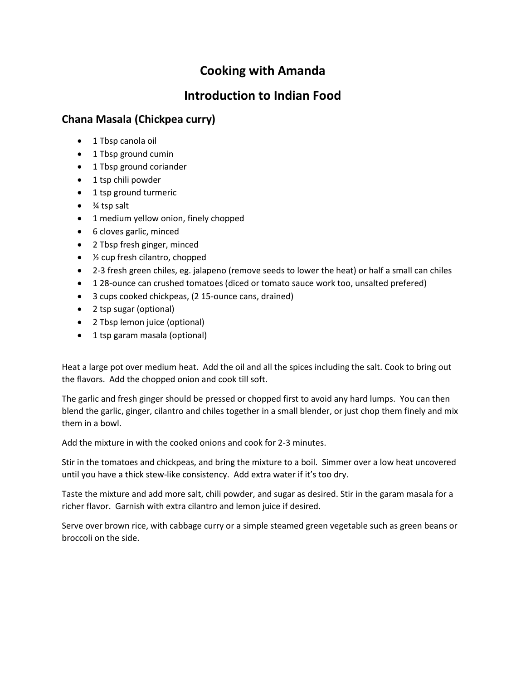## **Cooking with Amanda**

## **Introduction to Indian Food**

## **Chana Masala (Chickpea curry)**

- 1 Tbsp canola oil
- 1 Tbsp ground cumin
- 1 Tbsp ground coriander
- 1 tsp chili powder
- 1 tsp ground turmeric
- ¾ tsp salt
- 1 medium yellow onion, finely chopped
- 6 cloves garlic, minced
- 2 Tbsp fresh ginger, minced
- ½ cup fresh cilantro, chopped
- 2-3 fresh green chiles, eg. jalapeno (remove seeds to lower the heat) or half a small can chiles
- 1 28-ounce can crushed tomatoes (diced or tomato sauce work too, unsalted prefered)
- 3 cups cooked chickpeas, (2 15-ounce cans, drained)
- 2 tsp sugar (optional)
- 2 Tbsp lemon juice (optional)
- 1 tsp garam masala (optional)

Heat a large pot over medium heat. Add the oil and all the spices including the salt. Cook to bring out the flavors. Add the chopped onion and cook till soft.

The garlic and fresh ginger should be pressed or chopped first to avoid any hard lumps. You can then blend the garlic, ginger, cilantro and chiles together in a small blender, or just chop them finely and mix them in a bowl.

Add the mixture in with the cooked onions and cook for 2-3 minutes.

Stir in the tomatoes and chickpeas, and bring the mixture to a boil. Simmer over a low heat uncovered until you have a thick stew-like consistency. Add extra water if it's too dry.

Taste the mixture and add more salt, chili powder, and sugar as desired. Stir in the garam masala for a richer flavor. Garnish with extra cilantro and lemon juice if desired.

Serve over brown rice, with cabbage curry or a simple steamed green vegetable such as green beans or broccoli on the side.